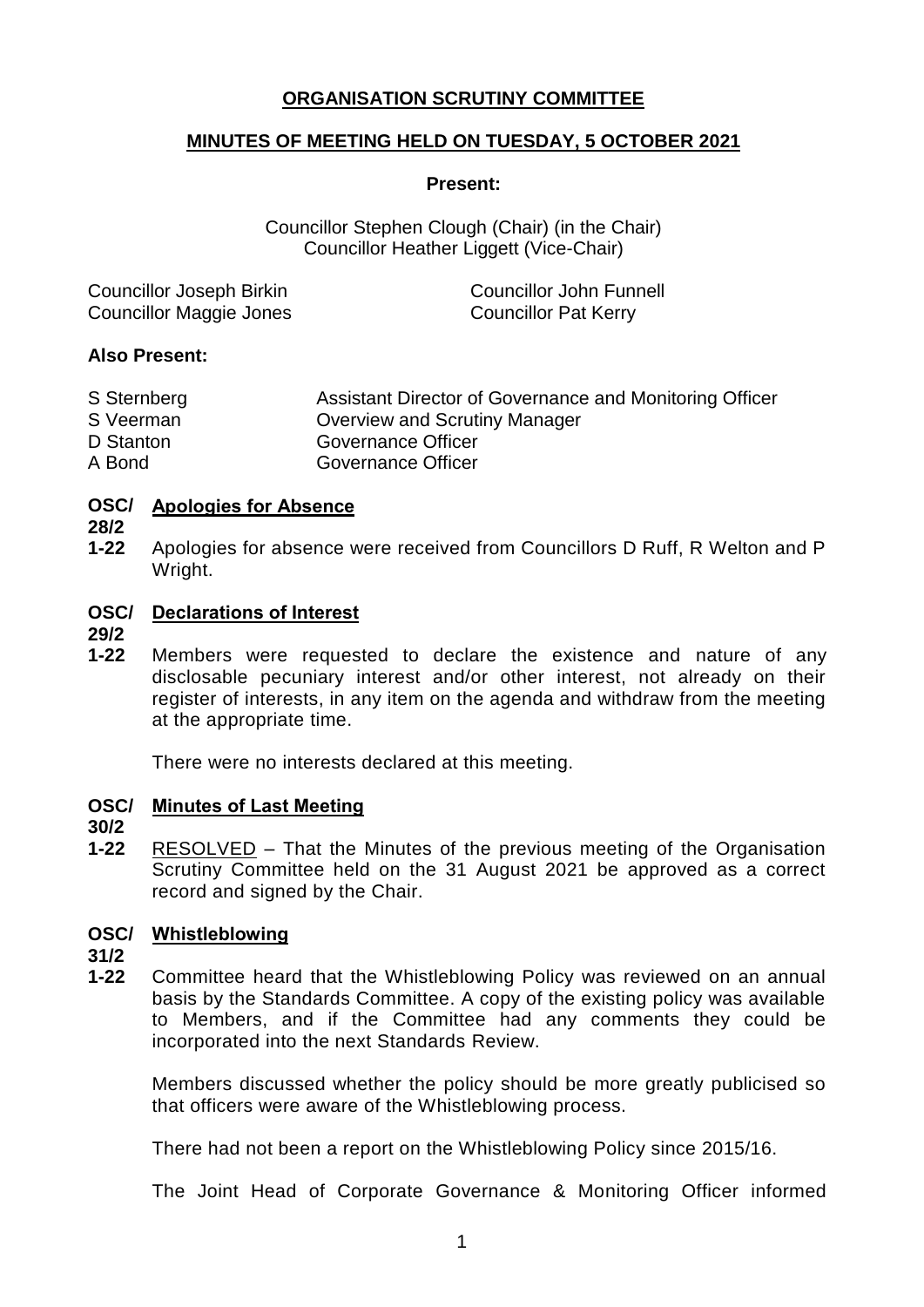# **ORGANISATION SCRUTINY COMMITTEE**

## **MINUTES OF MEETING HELD ON TUESDAY, 5 OCTOBER 2021**

#### **Present:**

Councillor Stephen Clough (Chair) (in the Chair) Councillor Heather Liggett (Vice-Chair)

| <b>Councillor Joseph Birkin</b> | <b>Councillor John Funnell</b> |
|---------------------------------|--------------------------------|
| <b>Councillor Maggie Jones</b>  | <b>Councillor Pat Kerry</b>    |

### **Also Present:**

| S Sternberg | Assistant Director of Governance and Monitoring Officer |
|-------------|---------------------------------------------------------|
| S Veerman   | Overview and Scrutiny Manager                           |
| D Stanton   | Governance Officer                                      |
| A Bond      | Governance Officer                                      |

### **OSC/ Apologies for Absence**

**28/2**

**1-22** Apologies for absence were received from Councillors D Ruff, R Welton and P Wright.

## **OSC/ Declarations of Interest**

**29/2**

**1-22** Members were requested to declare the existence and nature of any disclosable pecuniary interest and/or other interest, not already on their register of interests, in any item on the agenda and withdraw from the meeting at the appropriate time.

There were no interests declared at this meeting.

### **OSC/ Minutes of Last Meeting**

**30/2**

**1-22** RESOLVED – That the Minutes of the previous meeting of the Organisation Scrutiny Committee held on the 31 August 2021 be approved as a correct record and signed by the Chair.

## **OSC/ Whistleblowing**

**31/2**

**1-22** Committee heard that the Whistleblowing Policy was reviewed on an annual basis by the Standards Committee. A copy of the existing policy was available to Members, and if the Committee had any comments they could be incorporated into the next Standards Review.

Members discussed whether the policy should be more greatly publicised so that officers were aware of the Whistleblowing process.

There had not been a report on the Whistleblowing Policy since 2015/16.

The Joint Head of Corporate Governance & Monitoring Officer informed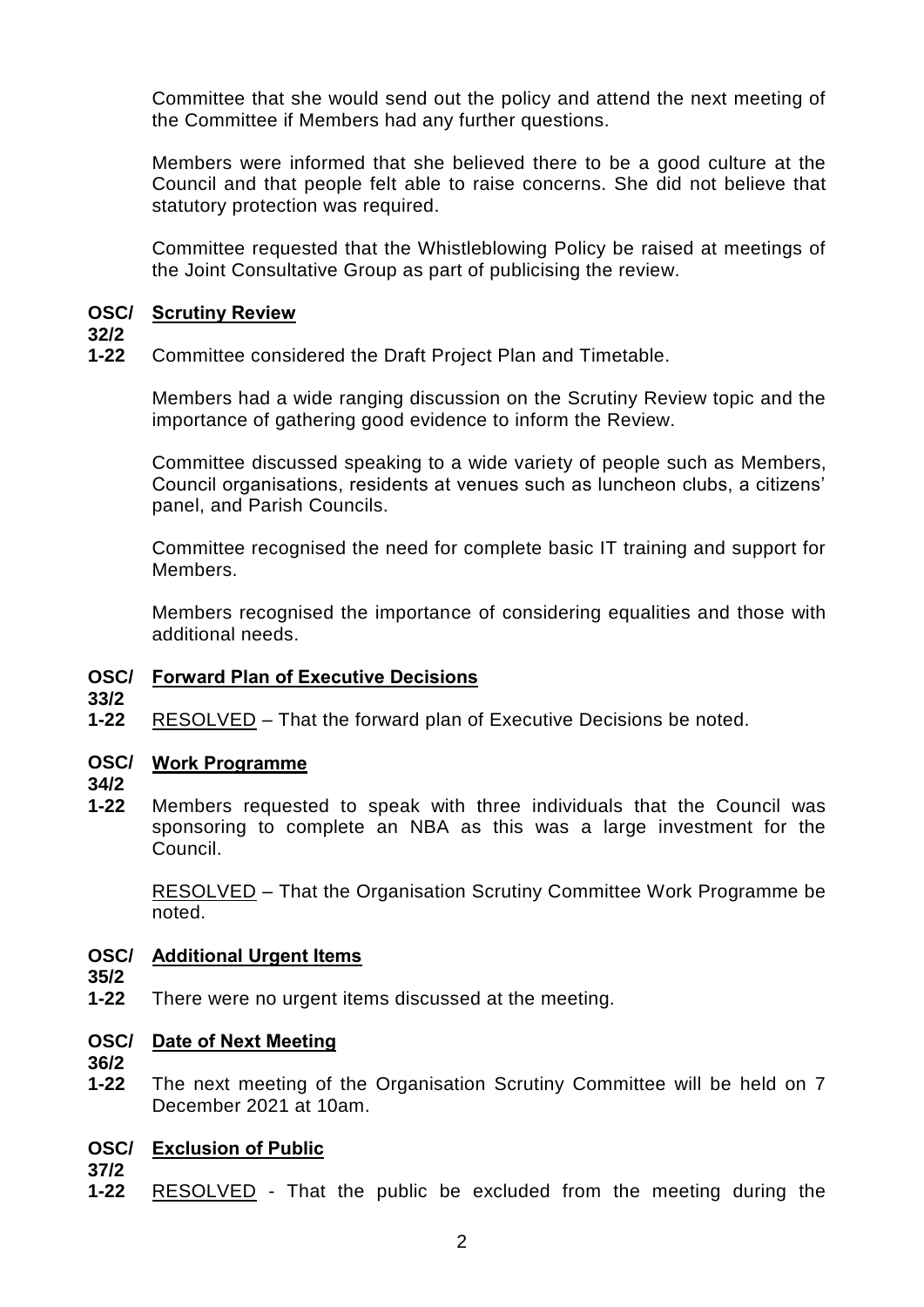Committee that she would send out the policy and attend the next meeting of the Committee if Members had any further questions.

Members were informed that she believed there to be a good culture at the Council and that people felt able to raise concerns. She did not believe that statutory protection was required.

Committee requested that the Whistleblowing Policy be raised at meetings of the Joint Consultative Group as part of publicising the review.

## **OSC/ Scrutiny Review**

## **32/2**

**1-22** Committee considered the Draft Project Plan and Timetable.

> Members had a wide ranging discussion on the Scrutiny Review topic and the importance of gathering good evidence to inform the Review.

> Committee discussed speaking to a wide variety of people such as Members, Council organisations, residents at venues such as luncheon clubs, a citizens' panel, and Parish Councils.

> Committee recognised the need for complete basic IT training and support for Members.

> Members recognised the importance of considering equalities and those with additional needs.

# **OSC/ Forward Plan of Executive Decisions**

- **33/2**
- **1-22** RESOLVED – That the forward plan of Executive Decisions be noted.

# **OSC/ Work Programme**

**34/2**

**1-22** Members requested to speak with three individuals that the Council was sponsoring to complete an NBA as this was a large investment for the Council.

RESOLVED – That the Organisation Scrutiny Committee Work Programme be noted.

## **OSC/ Additional Urgent Items**

- **35/2**
- **1-22** There were no urgent items discussed at the meeting.

## **OSC/ Date of Next Meeting**

- **36/2**
- **1-22** The next meeting of the Organisation Scrutiny Committee will be held on 7 December 2021 at 10am.

# **OSC/ Exclusion of Public**

**37/2**

**1-22** RESOLVED - That the public be excluded from the meeting during the